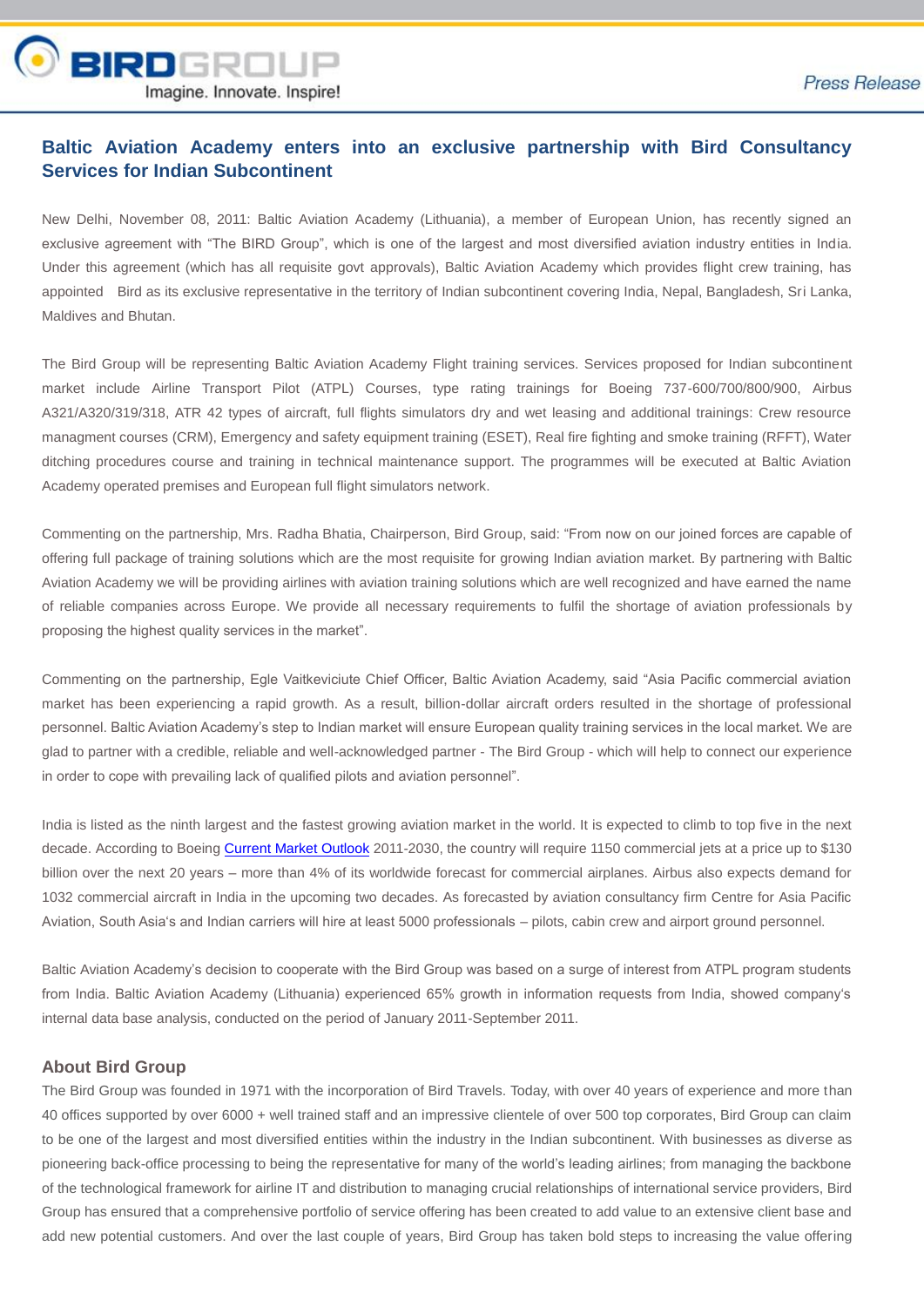

## **Baltic Aviation Academy enters into an exclusive partnership with Bird Consultancy Services for Indian Subcontinent**

New Delhi, November 08, 2011: Baltic Aviation Academy (Lithuania), a member of European Union, has recently signed an exclusive agreement with "The BIRD Group", which is one of the largest and most diversified aviation industry entities in India. Under this agreement (which has all requisite govt approvals), Baltic Aviation Academy which provides flight crew training, has appointed Bird as its exclusive representative in the territory of Indian subcontinent covering India, Nepal, Bangladesh, Sri Lanka, Maldives and Bhutan.

The Bird Group will be representing Baltic Aviation Academy Flight training services. Services proposed for Indian subcontinent market include Airline Transport Pilot (ATPL) Courses, type rating trainings for Boeing 737-600/700/800/900, Airbus A321/A320/319/318, ATR 42 types of aircraft, full flights simulators dry and wet leasing and additional trainings: Crew resource managment courses (CRM), Emergency and safety equipment training (ESET), Real fire fighting and smoke training (RFFT), Water ditching procedures course and training in technical maintenance support. The programmes will be executed at Baltic Aviation Academy operated premises and European full flight simulators network.

Commenting on the partnership, Mrs. Radha Bhatia, Chairperson, Bird Group, said: "From now on our joined forces are capable of offering full package of training solutions which are the most requisite for growing Indian aviation market. By partnering with Baltic Aviation Academy we will be providing airlines with aviation training solutions which are well recognized and have earned the name of reliable companies across Europe. We provide all necessary requirements to fulfil the shortage of aviation professionals by proposing the highest quality services in the market".

Commenting on the partnership, Egle Vaitkeviciute Chief Officer, Baltic Aviation Academy, said "Asia Pacific commercial aviation market has been experiencing a rapid growth. As a result, billion-dollar aircraft orders resulted in the shortage of professional personnel. Baltic Aviation Academy's step to Indian market will ensure European quality training services in the local market. We are glad to partner with a credible, reliable and well-acknowledged partner - The Bird Group - which will help to connect our experience in order to cope with prevailing lack of qualified pilots and aviation personnel".

India is listed as the ninth largest and the fastest growing aviation market in the world. It is expected to climb to top five in the next decade. According to Boeing Current Market Outlook 2011-2030, the country will require 1150 commercial jets at a price up to \$130 billion over the next 20 years – more than 4% of its worldwide forecast for commercial airplanes. Airbus also expects demand for 1032 commercial aircraft in India in the upcoming two decades. As forecasted by aviation consultancy firm Centre for Asia Pacific Aviation, South Asia's and Indian carriers will hire at least 5000 professionals – pilots, cabin crew and airport ground personnel.

Baltic Aviation Academy's decision to cooperate with the Bird Group was based on a surge of interest from ATPL program students from India. Baltic Aviation Academy (Lithuania) experienced 65% growth in information requests from India, showed company's internal data base analysis, conducted on the period of January 2011-September 2011.

## **About Bird Group**

The Bird Group was founded in 1971 with the incorporation of Bird Travels. Today, with over 40 years of experience and more than 40 offices supported by over 6000 + well trained staff and an impressive clientele of over 500 top corporates, Bird Group can claim to be one of the largest and most diversified entities within the industry in the Indian subcontinent. With businesses as diverse as pioneering back-office processing to being the representative for many of the world's leading airlines; from managing the backbone of the technological framework for airline IT and distribution to managing crucial relationships of international service providers, Bird Group has ensured that a comprehensive portfolio of service offering has been created to add value to an extensive client base and add new potential customers. And over the last couple of years, Bird Group has taken bold steps to increasing the value offering